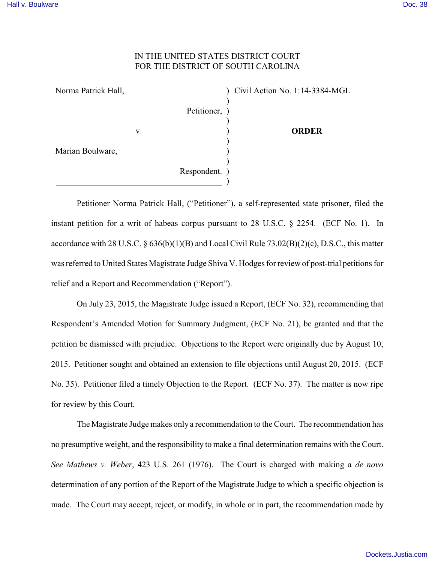## IN THE UNITED STATES DISTRICT COURT FOR THE DISTRICT OF SOUTH CAROLINA

| Norma Patrick Hall, |    |               | Civil Action No. 1:14-3384-MGL |
|---------------------|----|---------------|--------------------------------|
|                     |    |               |                                |
|                     |    | Petitioner, ) |                                |
|                     |    |               |                                |
|                     | V. |               | <b>ORDER</b>                   |
|                     |    |               |                                |
| Marian Boulware,    |    |               |                                |
|                     |    |               |                                |
|                     |    | Respondent. ) |                                |
|                     |    |               |                                |

Petitioner Norma Patrick Hall, ("Petitioner"), a self-represented state prisoner, filed the instant petition for a writ of habeas corpus pursuant to 28 U.S.C. § 2254. (ECF No. 1). In accordance with 28 U.S.C. § 636(b)(1)(B) and Local Civil Rule 73.02(B)(2)(c), D.S.C., this matter was referred to United States Magistrate Judge Shiva V. Hodges for review of post-trial petitions for relief and a Report and Recommendation ("Report").

On July 23, 2015, the Magistrate Judge issued a Report, (ECF No. 32), recommending that Respondent's Amended Motion for Summary Judgment, (ECF No. 21), be granted and that the petition be dismissed with prejudice. Objections to the Report were originally due by August 10, 2015. Petitioner sought and obtained an extension to file objections until August 20, 2015. (ECF No. 35). Petitioner filed a timely Objection to the Report. (ECF No. 37). The matter is now ripe for review by this Court.

The Magistrate Judge makes only a recommendation to the Court. The recommendation has no presumptive weight, and the responsibility to make a final determination remains with the Court. *See Mathews v. Weber*, 423 U.S. 261 (1976). The Court is charged with making a *de novo* determination of any portion of the Report of the Magistrate Judge to which a specific objection is made. The Court may accept, reject, or modify, in whole or in part, the recommendation made by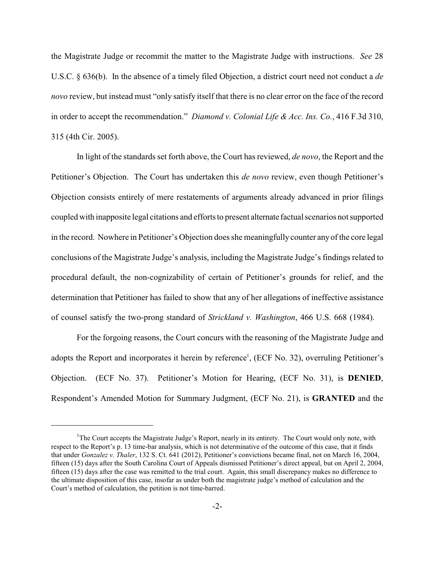the Magistrate Judge or recommit the matter to the Magistrate Judge with instructions. *See* 28 U.S.C. § 636(b). In the absence of a timely filed Objection, a district court need not conduct a *de novo* review, but instead must "only satisfy itself that there is no clear error on the face of the record in order to accept the recommendation." *Diamond v. Colonial Life & Acc. Ins. Co.*, 416 F.3d 310, 315 (4th Cir. 2005).

In light of the standards set forth above, the Court has reviewed, *de novo*, the Report and the Petitioner's Objection. The Court has undertaken this *de novo* review, even though Petitioner's Objection consists entirely of mere restatements of arguments already advanced in prior filings coupled with inapposite legal citations and efforts to present alternate factual scenarios not supported in the record. Nowhere in Petitioner's Objection does she meaningfully counter any of the core legal conclusions of the Magistrate Judge's analysis, including the Magistrate Judge's findings related to procedural default, the non-cognizability of certain of Petitioner's grounds for relief, and the determination that Petitioner has failed to show that any of her allegations of ineffective assistance of counsel satisfy the two-prong standard of *Strickland v. Washington*, 466 U.S. 668 (1984).

For the forgoing reasons, the Court concurs with the reasoning of the Magistrate Judge and adopts the Report and incorporates it herein by reference<sup>1</sup>, (ECF No. 32), overruling Petitioner's Objection. (ECF No. 37). Petitioner's Motion for Hearing, (ECF No. 31), is **DENIED**, Respondent's Amended Motion for Summary Judgment, (ECF No. 21), is **GRANTED** and the

<sup>&</sup>lt;sup>1</sup>The Court accepts the Magistrate Judge's Report, nearly in its entirety. The Court would only note, with respect to the Report's p. 13 time-bar analysis, which is not determinative of the outcome of this case, that it finds that under *Gonzalez v. Thaler*, 132 S. Ct. 641 (2012), Petitioner's convictions became final, not on March 16, 2004, fifteen (15) days after the South Carolina Court of Appeals dismissed Petitioner's direct appeal, but on April 2, 2004, fifteen (15) days after the case was remitted to the trial court. Again, this small discrepancy makes no difference to the ultimate disposition of this case, insofar as under both the magistrate judge's method of calculation and the Court's method of calculation, the petition is not time-barred.